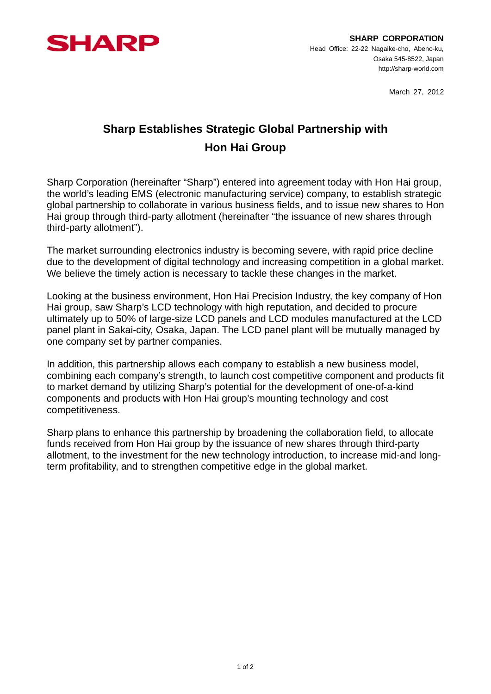

March 27, 2012

## **Sharp Establishes Strategic Global Partnership with Hon Hai Group**

Sharp Corporation (hereinafter "Sharp") entered into agreement today with Hon Hai group, the world's leading EMS (electronic manufacturing service) company, to establish strategic global partnership to collaborate in various business fields, and to issue new shares to Hon Hai group through third-party allotment (hereinafter "the issuance of new shares through third-party allotment").

The market surrounding electronics industry is becoming severe, with rapid price decline due to the development of digital technology and increasing competition in a global market. We believe the timely action is necessary to tackle these changes in the market.

Looking at the business environment, Hon Hai Precision Industry, the key company of Hon Hai group, saw Sharp's LCD technology with high reputation, and decided to procure ultimately up to 50% of large-size LCD panels and LCD modules manufactured at the LCD panel plant in Sakai-city, Osaka, Japan. The LCD panel plant will be mutually managed by one company set by partner companies.

In addition, this partnership allows each company to establish a new business model, combining each company's strength, to launch cost competitive component and products fit to market demand by utilizing Sharp's potential for the development of one-of-a-kind components and products with Hon Hai group's mounting technology and cost competitiveness.

Sharp plans to enhance this partnership by broadening the collaboration field, to allocate funds received from Hon Hai group by the issuance of new shares through third-party allotment, to the investment for the new technology introduction, to increase mid-and longterm profitability, and to strengthen competitive edge in the global market.